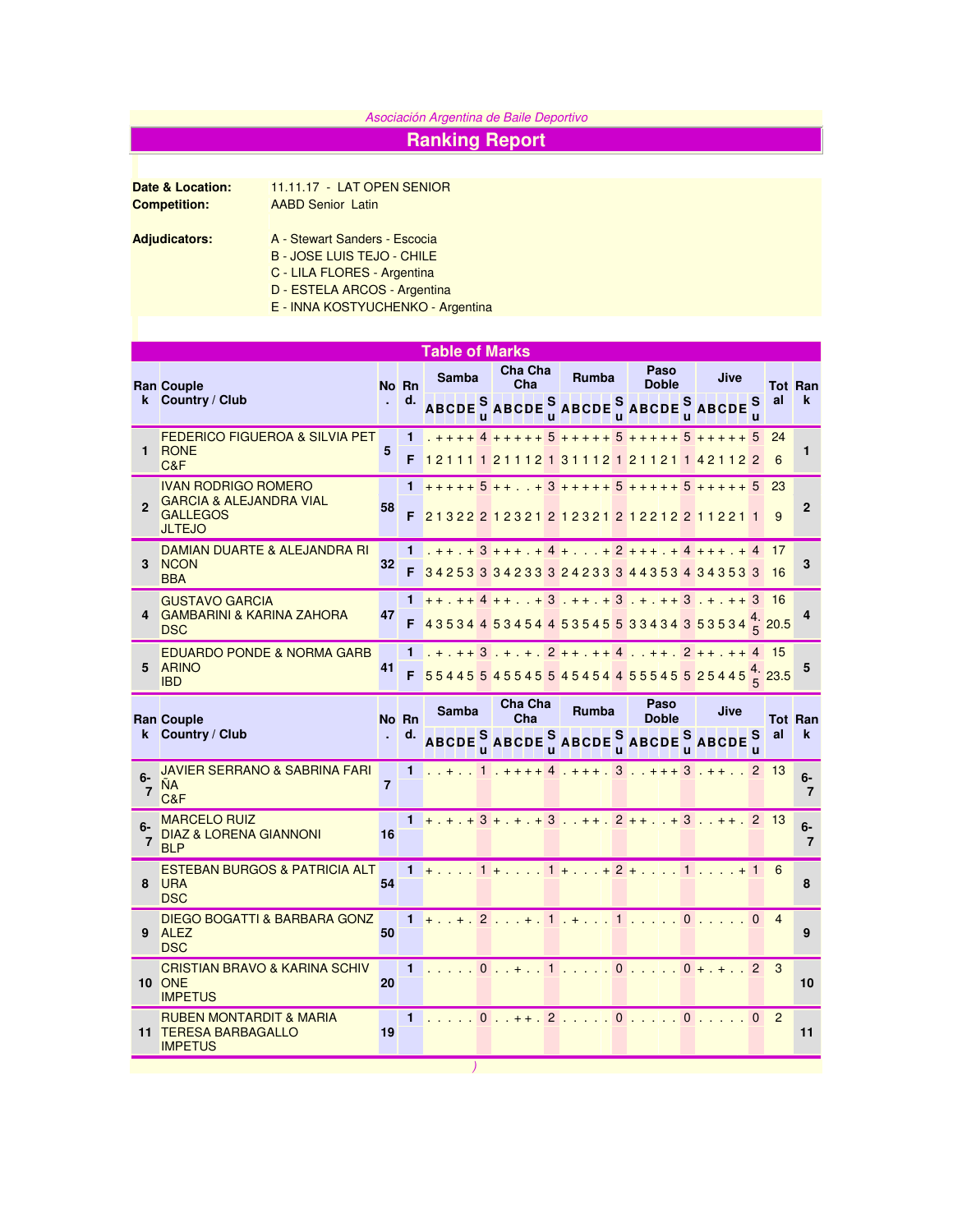## Asociación Argentina de Baile Deportivo

## **Ranking Report**

**Date & Location:** 11.11.17 - LAT OPEN SENIOR<br>**Competition:** AABD Senior Latin **AABD Senior Latin** 

- B JOSE LUIS TEJO CHILE
	- C LILA FLORES Argentina
	- D ESTELA ARCOS Argentina
	- E INNA KOSTYUCHENKO Argentina

|              |                                                                        | <b>Table of Marks</b> |       |                                                                                                                                                            |  |                                                   |  |       |  |                      |  |             |    |              |                |
|--------------|------------------------------------------------------------------------|-----------------------|-------|------------------------------------------------------------------------------------------------------------------------------------------------------------|--|---------------------------------------------------|--|-------|--|----------------------|--|-------------|----|--------------|----------------|
| k.           | <b>Ran Couple</b><br><b>Country / Club</b>                             |                       | No Rn | Samba                                                                                                                                                      |  | <b>Cha Cha</b><br>Cha                             |  | Rumba |  | Paso<br>Doble        |  | <b>Jive</b> |    |              | <b>Tot Ran</b> |
|              |                                                                        |                       | d.    | ABCDE $^{\mathbf{S}}$ ABCDE $^{\mathbf{S}}$ ABCDE $^{\mathbf{S}}$ ABCDE $^{\mathbf{S}}$ ABCDE                                                              |  |                                                   |  |       |  |                      |  |             | S. | al           | $\mathbf k$    |
|              | <b>FEDERICO FIGUEROA &amp; SILVIA PET</b>                              |                       | 1     |                                                                                                                                                            |  | $+ + + + 4 + + + + + 5 + + + + + + 5 + + + + + +$ |  |       |  |                      |  |             |    | 24           |                |
| $\mathbf 1$  | <b>RONE</b><br>C&F                                                     | 5                     | F     | 121111211121311121211211421122                                                                                                                             |  |                                                   |  |       |  |                      |  |             |    | 6            | 1              |
|              | <b>IVAN RODRIGO ROMERO</b>                                             |                       | 1     | $+ + + + + 5 + +  + 3 + + + + + 5 + + + + + 5 + + + + + + 5$                                                                                               |  |                                                   |  |       |  |                      |  |             |    |              |                |
| $\mathbf{c}$ | <b>GARCIA &amp; ALEJANDRA VIAL</b><br><b>GALLEGOS</b><br><b>JLTEJO</b> | 58                    | F     | 21322 212321 212321 212212 211221 1                                                                                                                        |  |                                                   |  |       |  |                      |  |             |    | 9            | $\mathbf{2}$   |
|              | DAMIAN DUARTE & ALEJANDRA RI                                           |                       | 1     |                                                                                                                                                            |  | $3 + + + + 4 + + + 2 + + + + 4 + + + + 4$         |  |       |  |                      |  |             |    | 17           |                |
|              | 3 NCON<br><b>BBA</b>                                                   | 32                    | F     | 34253 334233 324233 344353 434353 3                                                                                                                        |  |                                                   |  |       |  |                      |  |             |    | -16          | 3              |
|              | <b>GUSTAVO GARCIA</b>                                                  |                       |       | $++.++4++.++3.++.+1$                                                                                                                                       |  |                                                   |  |       |  |                      |  |             |    |              |                |
|              | <b>GAMBARINI &amp; KARINA ZAHORA</b><br><b>DSC</b>                     | 47                    | F     | 43534453454453545533434343535344420.5                                                                                                                      |  |                                                   |  |       |  |                      |  |             |    |              | 4              |
|              | <b>EDUARDO PONDE &amp; NORMA GARB</b>                                  |                       | 1     | $+ + + + 3 + + + + 2 + + + + + 4 + + + 2 + + + + 4$                                                                                                        |  |                                                   |  |       |  |                      |  |             |    |              |                |
|              | 5 ARINO<br><b>IBD</b>                                                  | 41                    | F     | $554455455455454544555545525445\frac{4}{5}23.5$                                                                                                            |  |                                                   |  |       |  |                      |  |             |    |              | 5              |
|              | <b>Ran Couple</b><br>Country / Club                                    | No Rn                 |       | <b>Samba</b>                                                                                                                                               |  | Cha Cha<br>Cha                                    |  | Rumba |  | Paso<br><b>Doble</b> |  | Jive        |    |              | <b>Tot Ran</b> |
| k.           |                                                                        |                       | d.    | ABCDE $_{\text{u}}^{\text{S}}$ ABCDE $_{\text{u}}^{\text{S}}$ ABCDE $_{\text{u}}^{\text{S}}$ ABCDE $_{\text{u}}^{\text{S}}$ ABCDE $_{\text{u}}^{\text{S}}$ |  |                                                   |  |       |  |                      |  |             |    | al           | $\mathbf k$    |
| $6-$<br>7    | JAVIER SERRANO & SABRINA FARI<br><b>NA</b>                             | $\overline{7}$        | 1     |                                                                                                                                                            |  | $1 + + + + 4 + + + 3 + + + + 3 + + \ldots$        |  |       |  |                      |  |             |    | $2 \quad 13$ | $6-$           |

|         | $\mathbf{m}$<br>C&F                                                              |    |  |  |  |  |                                       |  |    |
|---------|----------------------------------------------------------------------------------|----|--|--|--|--|---------------------------------------|--|----|
| $6-$    | <b>MARCELO RUIZ</b><br>DIAZ & LORENA GIANNONI<br><b>BLP</b>                      | 16 |  |  |  |  | $+,+,+3+,+,+3,+,+1,2,+,+,3,+,+1,2,13$ |  | 6- |
| 8       | <b>ESTEBAN BURGOS &amp; PATRICIA ALT</b><br><b>URA</b><br><b>DSC</b>             | 54 |  |  |  |  | 1 + 1 + 1 + + 2 + 1 1 + 1 6           |  |    |
| 9       | DIEGO BOGATTI & BARBARA GONZ<br><b>ALEZ</b><br><b>DSC</b>                        | 50 |  |  |  |  | $1 +  + . 2  + . 1  +  1  0  0  0 4$  |  |    |
| $10-10$ | <b>CRISTIAN BRAVO &amp; KARINA SCHIV</b><br><b>ONE</b><br><b>IMPETUS</b>         | 20 |  |  |  |  | $\ldots$ 0. + . 1. 0. 0 + + . 2 3     |  | 10 |
|         | <b>RUBEN MONTARDIT &amp; MARIA</b><br><b>TERESA BARBAGALLO</b><br><b>IMPETUS</b> | 19 |  |  |  |  |                                       |  | 11 |